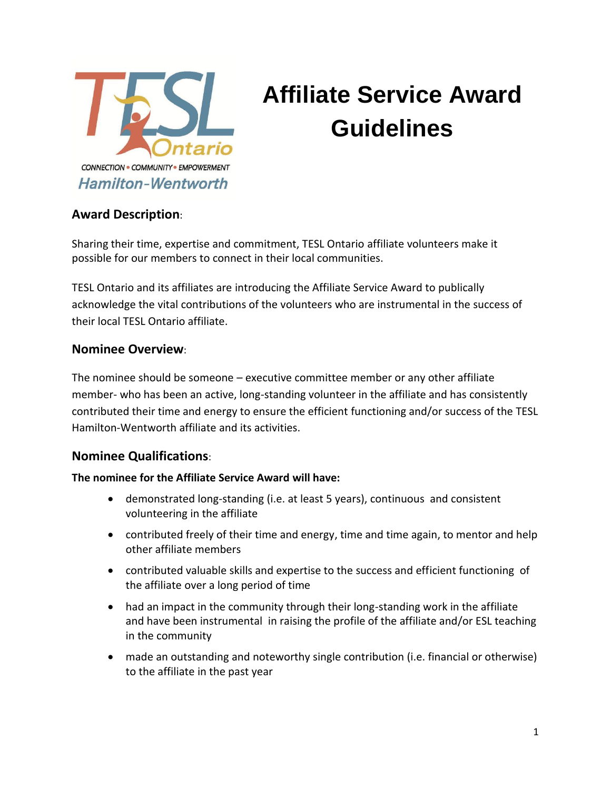

# **Affiliate Service Award Guidelines**

# **Award Description**:

Sharing their time, expertise and commitment, TESL Ontario affiliate volunteers make it possible for our members to connect in their local communities.

TESL Ontario and its affiliates are introducing the Affiliate Service Award to publically acknowledge the vital contributions of the volunteers who are instrumental in the success of their local TESL Ontario affiliate.

#### **Nominee Overview**:

The nominee should be someone – executive committee member or any other affiliate member- who has been an active, long-standing volunteer in the affiliate and has consistently contributed their time and energy to ensure the efficient functioning and/or success of the TESL Hamilton-Wentworth affiliate and its activities.

### **Nominee Qualifications**:

#### **The nominee for the Affiliate Service Award will have:**

- demonstrated long-standing (i.e. at least 5 years), continuous and consistent volunteering in the affiliate
- contributed freely of their time and energy, time and time again, to mentor and help other affiliate members
- contributed valuable skills and expertise to the success and efficient functioning of the affiliate over a long period of time
- had an impact in the community through their long-standing work in the affiliate and have been instrumental in raising the profile of the affiliate and/or ESL teaching in the community
- made an outstanding and noteworthy single contribution (i.e. financial or otherwise) to the affiliate in the past year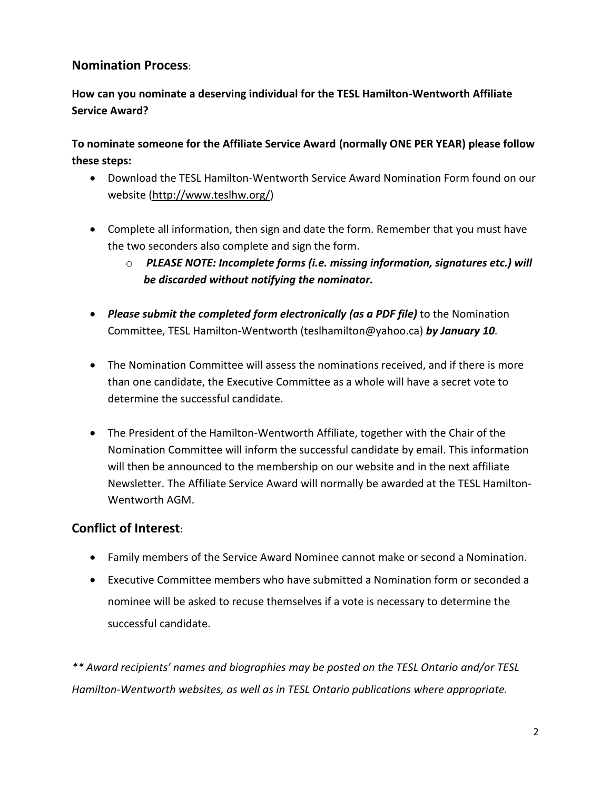# **Nomination Process**:

**How can you nominate a deserving individual for the TESL Hamilton-Wentworth Affiliate Service Award?** 

**To nominate someone for the Affiliate Service Award (normally ONE PER YEAR) please follow these steps:**

- Download the TESL Hamilton-Wentworth Service Award Nomination Form found on our website [\(http://www.teslhw.org/\)](http://www.teslhw.org/)
- Complete all information, then sign and date the form. Remember that you must have the two seconders also complete and sign the form.
	- o *PLEASE NOTE: Incomplete forms (i.e. missing information, signatures etc.) will be discarded without notifying the nominator.*
- *Please submit the completed form electronically (as a PDF file)* to the Nomination Committee, TESL Hamilton-Wentworth (teslhamilton@yahoo.ca) *by January 10.*
- The Nomination Committee will assess the nominations received, and if there is more than one candidate, the Executive Committee as a whole will have a secret vote to determine the successful candidate.
- The President of the Hamilton-Wentworth Affiliate, together with the Chair of the Nomination Committee will inform the successful candidate by email. This information will then be announced to the membership on our website and in the next affiliate Newsletter. The Affiliate Service Award will normally be awarded at the TESL Hamilton-Wentworth AGM.

### **Conflict of Interest**:

- Family members of the Service Award Nominee cannot make or second a Nomination.
- Executive Committee members who have submitted a Nomination form or seconded a nominee will be asked to recuse themselves if a vote is necessary to determine the successful candidate.

*\*\* Award recipients' names and biographies may be posted on the TESL Ontario and/or TESL Hamilton-Wentworth websites, as well as in TESL Ontario publications where appropriate.*